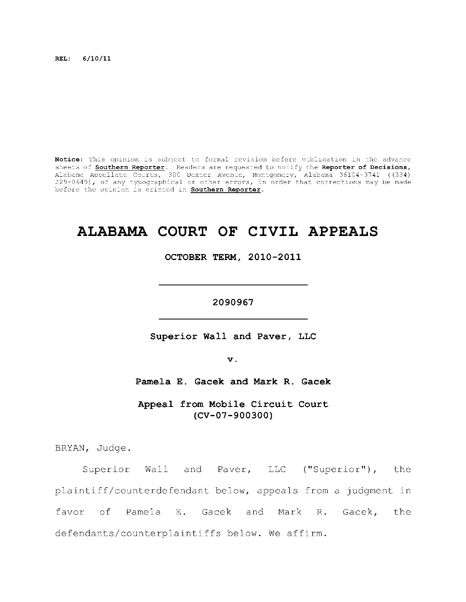**REL: 6/10/11** 

Notice: This opinion is subject to formal revision before publication in the advance sheets of **Southern Reporter**. Readers are requested to notify the Reporter of Decisions, Alabama Appellate Courts, 300 Dexter Avenue, Montgomery, Alabama 36104-3741 ((334) ) 229–0649), of any typographical or other errors, in order that corrections may be made  $\,$ before the opinion is printed in **Southern Reporter**.

# **ALABAMA COURT OF CIVIL APPEALS**

OCTOBER TERM, 2010-2011

2090967

Superior Wall and Paver, LLC

**2090967** 

 $\mathbf v$  .

Pamela E. Gacek and Mark R. Gacek

Appeal from Mobile Circuit Court **(CV-07-900300)** 

BRYAN, Judge.

Superior Wall and Paver, LLC ("Superior"), the plaintiff/counterdefendant below, appeals from a judgment in favor of Pamela E. Gacek and Mark R. Gacek, the defendants/counterplaintiffs below. We affirm.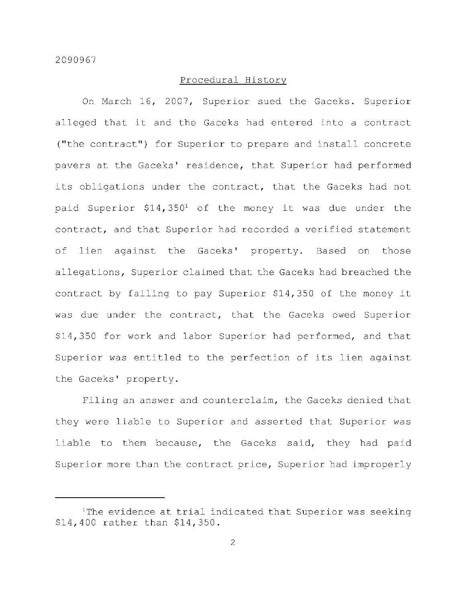# Procedural History

On March 16, 2007, Superior sued the Gaceks. Superior alleged that it and the Gaceks had entered into a contract ("the contract") for Superior to prepare and install concrete pavers at the Gaceks' residence, that Superior had performed its obligations under the contract, that the Gaceks had not paid Superior  $$14,350<sup>1</sup>$  of the money it was due under the contract, and that Superior had recorded a verified statement of lien against the Gaceks' property. Based on those allegations, Superior claimed that the Gaceks had breached the contract by failing to pay Superior \$14,350 of the money it was due under the contract, that the Gaceks owed Superior \$14,350 for work and labor Superior had performed, and that Superior was entitled to the perfection of its lien against the Gaceks' property.

Filing an answer and counterclaim, the Gaceks denied that they were liable to Superior and asserted that Superior was liable to them because, the Gaceks said, they had paid Superior more than the contract price, Superior had improperly

 $1$ The evidence at trial indicated that Superior was seeking  $$14,400$  rather than  $$14,350$ .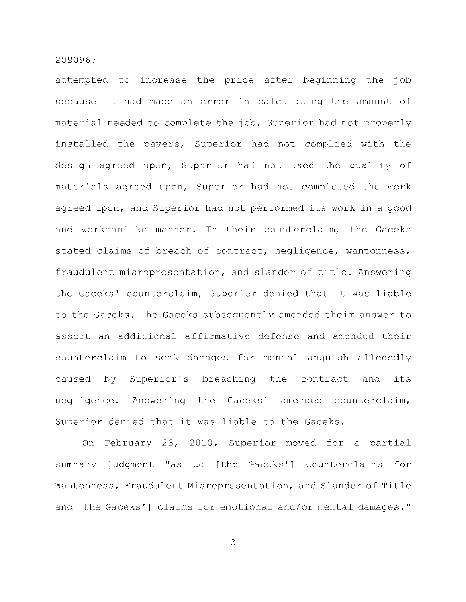attempted to increase the price after beginning the job because it had made an error in calculating the amount of material needed to complete the job, Superior had not properly installed the pavers, Superior had not complied with the design agreed upon, Superior had not used the quality of materials agreed upon, Superior had not completed the work agreed upon, and Superior had not performed its work in a good and workmanlike manner. In their counterclaim, the Gaceks stated claims of breach of contract, negligence, wantonness, fraudulent misrepresentation, and slander of title. Answering the Gaceks' counterclaim, Superior denied that it was liable to the Gaceks. The Gaceks subsequently amended their answer to assert an additional affirmative defense and amended their counterclaim to seek damages for mental anguish allegedly caused by Superior's breaching the contract and its negligence. Answering the Gaceks' amended counterclaim, Superior denied that it was liable to the Gaceks.

On February 23, 2010, Superior moved for a partial summary judgment "as to [the Gaceks'] Counterclaims for Wantonness, Fraudulent Misrepresentation, and Slander of Title and [the Gaceks'] claims for emotional and/or mental damages."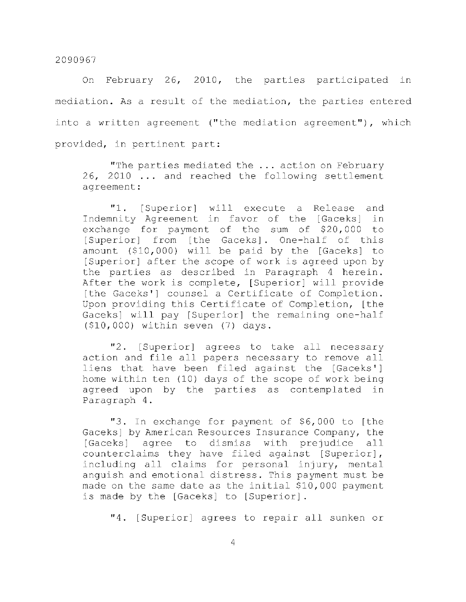On February 26, 2010, the parties participated in mediation. As a result of the mediation, the parties entered into a written agreement ("the mediation agreement"), which provided, in pertinent part:

"The parties mediated the ... action on February  $26$ ,  $2010$  ... and reached the following settlement agreement :

"1. [Superior] will execute a Release and Indemnity Agreement in favor of the [Gaceks] in exchange for payment of the sum of \$20,000 to [Superior] from [the Gaceks]. One-half of this amount  $( $10,000)$  will be paid by the [Gaceks] to [Superior] after the scope of work is agreed upon by the parties as described in Paragraph 4 herein. After the work is complete, [Superior] will provide [the Gaceks'] counsel a Certificate of Completion. Upon providing this Certificate of Completion, [the Gaceks) will pay [Superior] the remaining one-half  $(510,000)$  within seven  $(7)$  days.

"2. [Superior] agrees to take all necessary action and file all papers necessary to remove all liens that have been filed against the [Gaceks'] home within ten (10) days of the scope of work being agreed upon by the parties as contemplated in Paragraph 4.

"3. In exchange for payment of \$6,000 to [the Gaceks] by American Resources Insurance Company, the [Gaceks] agree to dismiss with prejudice all counterclaims they have filed against [Superior], including all claims for personal injury, mental anguish and emotional distress. This payment must be made on the same date as the initial \$10,000 payment is made by the [Gaceks] to [Superior].

"4. [Superior] agrees to repair all sunken or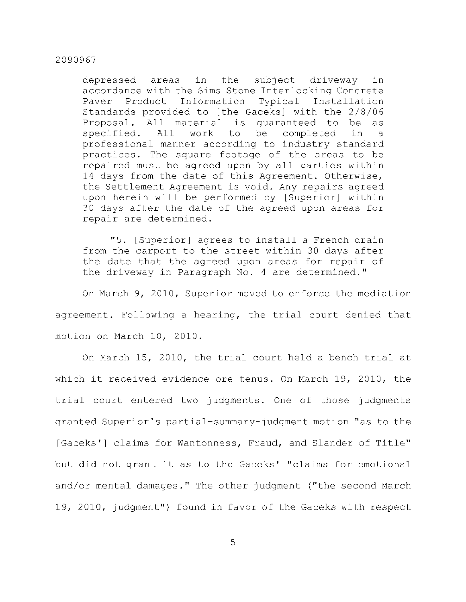depressed areas in the subject driveway in accordance with the Sims Stone Interlocking Concrete Paver Product Information Typical Installation Standards provided to [the Gaceks] with the 2/8/06 Proposal. All material is quaranteed to be as specified. All work to be completed in a professional manner according to industry standard practices. The square footage of the areas to be repaired must be agreed upon by all parties within 14 days from the date of this Agreement. Otherwise, the Settlement Agreement is void. Any repairs agreed upon herein will be performed by [Superior] within 30 days after the date of the agreed upon areas for repair are determined.

"5. [Superior] agrees to install a French drain from the carport to the street within 30 days after the date that the agreed upon areas for repair of the driveway in Paragraph No. 4 are determined."

On March 9, 2010, Superior moved to enforce the mediation agreement. Following a hearing, the trial court denied that motion on March 10, 2010.

On March 15, 2010, the trial court held a bench trial at which it received evidence ore tenus. On March 19, 2010, the trial court entered two judgments. One of those judgments granted Superior's partial-summary-judgment motion "as to the [Gaceks'] claims for Wantonness, Fraud, and Slander of Title" but did not grant it as to the Gaceks' "claims for emotional and/or mental damages." The other judgment ("the second March 19, 2010, judgment") found in favor of the Gaceks with respect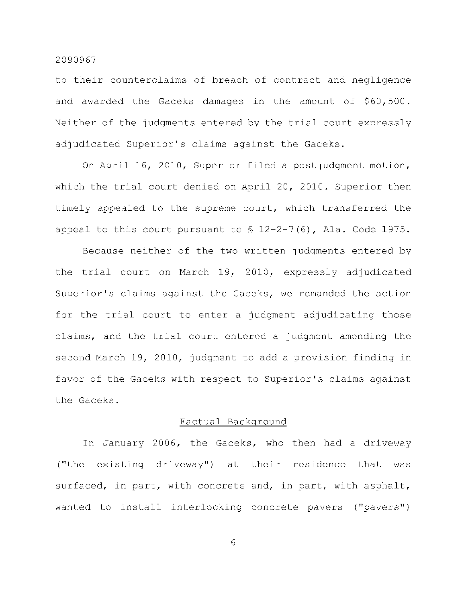to their counterclaims of breach of contract and negligence and awarded the Gaceks damages in the amount of \$60,500. Neither of the judgments entered by the trial court expressly adjudicated Superior's claims against the Gaceks.

On April 16, 2010, Superior filed a postjudgment motion, which the trial court denied on April 20, 2010. Superior then timely appealed to the supreme court, which transferred the appeal to this court pursuant to  $\frac{12-2-7}{6}$ , Ala. Code 1975.

Because neither of the two written judgments entered by the trial court on March 19, 2010, expressly adjudicated Superior's claims against the Gaceks, we remanded the action for the trial court to enter a judgment adjudicating those claims, and the trial court entered a judgment amending the second March 19, 2010, judgment to add a provision finding in favor of the Gaceks with respect to Superior's claims against the Gaceks.

#### Factual Background

In January 2006, the Gaceks, who then had a driveway ("the existing driveway") at their residence that was surfaced, in part, with concrete and, in part, with asphalt, wanted to install interlocking concrete pavers ("pavers")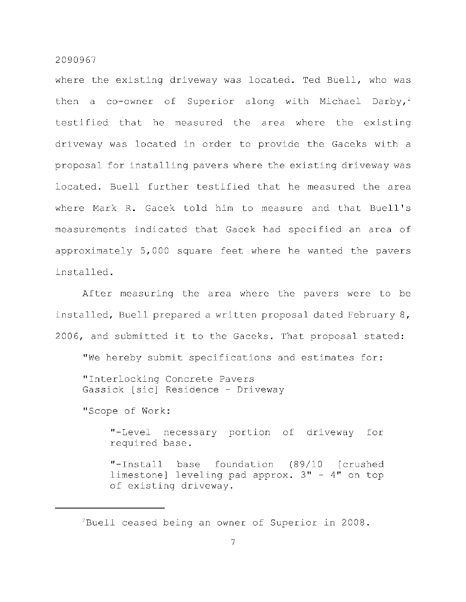where the existing driveway was located. Ted Buell, who was then a co-owner of Superior along with Michael Darby,<sup>2</sup> testified that he measured the area where the existing driveway was located in order to provide the Gaceks with a proposal for installing pavers where the existing driveway was located. Buell further testified that he measured the area where Mark R. Gacek told him to measure and that Buell's measurements indicated that Gacek had specified an area of approximately 5,000 square feet where he wanted the pavers installed .

After measuring the area where the pavers were to be installed, Buell prepared a written proposal dated February 8, 2006, and submitted it to the Gaceks. That proposal stated:

"We hereby submit specifications and estimates for:

"Interlocking Concrete Pavers Gassick [sic] Residence - Driveway

"Scope of Work:

"-Level necessary portion of driveway for required base.

"-Install base foundation (89/10 [crushed limestone] leveling pad approx.  $3" - 4"$  on top of existing driveway.

 ${}^{2}$ Buell ceased being an owner of Superior in 2008.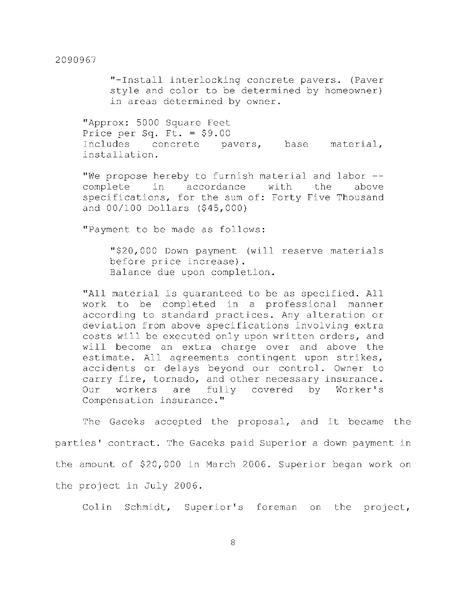"-Install interlocking concrete pavers. (Paver style and color to be determined by homeowner) in areas determined by owner.

"Approx: 5000 Square Feet Price per Sq. Ft. = \$9.00<br>Includes concrete pa concrete pavers, base material, installation .

"We propose hereby to furnish material and labor -complete in accordance with the above specifications, for the sum of: Forty Five Thousand and 00/100 Dollars (\$45,000)

"Payment to be made as follows:

"\$20,000 Down payment (will reserve materials before price increase). Balance due upon completion.

"All material is quaranteed to be as specified. All work to be completed in a professional manner according to standard practices. Any alteration or deviation from above specifications involving extra costs will be executed only upon written orders, and will become an extra charge over and above the estimate. All agreements contingent upon strikes, accidents or delays beyond our control. Owner to carry fire, tornado, and other necessary insurance. Our workers are fully covered by Worker's Compensation insurance. "

The Gaceks accepted the proposal, and it became the parties' contract. The Gaceks paid Superior a down payment in the amount of \$20,000 in March 2006. Superior began work on the project in July 2006.

Colin Schmidt, Superior's foreman on the project,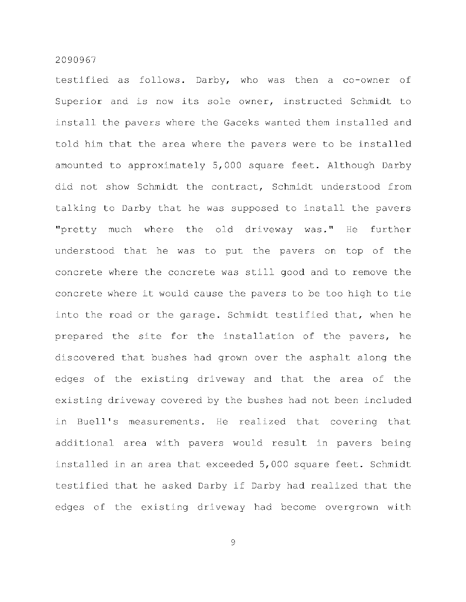testified as follows. Darby, who was then a co-owner of Superior and is now its sole owner, instructed Schmidt to install the pavers where the Gaceks wanted them installed and told him that the area where the pavers were to be installed amounted to approximately 5,000 square feet. Although Darby did not show Schmidt the contract, Schmidt understood from talking to Darby that he was supposed to install the pavers "pretty much where the old driveway was." He further understood that he was to put the pavers on top of the concrete where the concrete was still good and to remove the concrete where it would cause the pavers to be too high to tie into the road or the garage. Schmidt testified that, when he prepared the site for the installation of the pavers, he discovered that bushes had grown over the asphalt along the edges of the existing driveway and that the area of the existing driveway covered by the bushes had not been included in Buell's measurements. He realized that covering that additional area with pavers would result in pavers being installed in an area that exceeded 5,000 square feet. Schmidt testified that he asked Darby if Darby had realized that the edges of the existing driveway had become overgrown with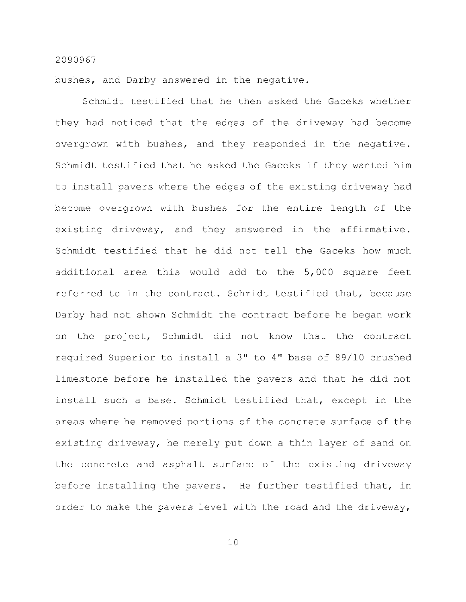bushes, and Darby answered in the negative.

Schmidt testified that he then asked the Gaceks whether they had noticed that the edges of the driveway had become overgrown with bushes, and they responded in the negative. Schmidt testified that he asked the Gaceks if they wanted him to install pavers where the edges of the existing driveway had become overgrown with bushes for the entire length of the existing driveway, and they answered in the affirmative. Schmidt testified that he did not tell the Gaceks how much additional area this would add to the 5,000 square feet referred to in the contract. Schmidt testified that, because Darby had not shown Schmidt the contract before he began work on the project, Schmidt did not know that the contract required Superior to install a  $3"$  to  $4"$  base of 89/10 crushed limestone before he installed the pavers and that he did not install such a base. Schmidt testified that, except in the areas where he removed portions of the concrete surface of the existing driveway, he merely put down a thin layer of sand on the concrete and asphalt surface of the existing driveway before installing the pavers. He further testified that, in order to make the pavers level with the road and the driveway,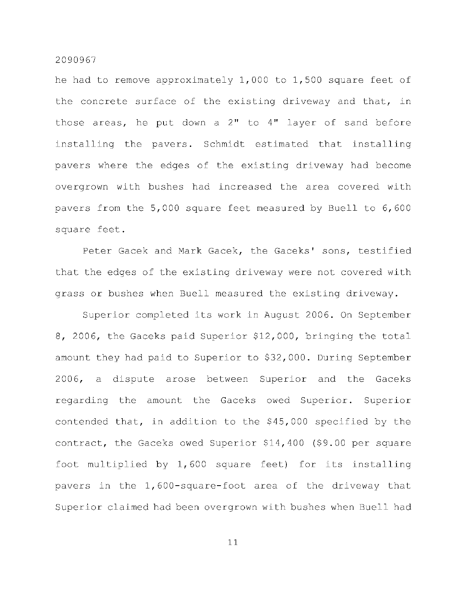he had to remove approximately  $1,000$  to  $1,500$  square feet of the concrete surface of the existing driveway and that, in those areas, he put down a  $2"$  to  $4"$  layer of sand before installing the pavers. Schmidt estimated that installing pavers where the edges of the existing driveway had become overgrown with bushes had increased the area covered with pavers from the  $5,000$  square feet measured by Buell to  $6,600$ square feet.

Peter Gacek and Mark Gacek, the Gaceks' sons, testified that the edges of the existing driveway were not covered with grass or bushes when Buell measured the existing driveway.

Superior completed its work in August 2006. On September 8, 2006, the Gaceks paid Superior \$12,000, bringing the total amount they had paid to Superior to \$32,000. During September 2006, a dispute arose between Superior and the Gaceks regarding the amount the Gaceks owed Superior. Superior contended that, in addition to the  $$45,000$  specified by the contract, the Gaceks owed Superior  $$14,400$  (\$9.00 per square foot multiplied by  $1,600$  square feet) for its installing pavers in the 1,600-square-foot area of the driveway that Superior claimed had been overgrown with bushes when Buell had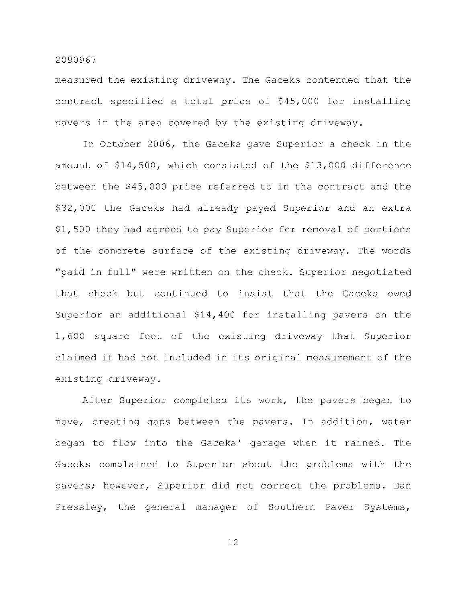measured the existing driveway. The Gaceks contended that the contract specified a total price of \$45,000 for installing pavers in the area covered by the existing driveway.

In October 2006, the Gaceks gave Superior a check in the amount of  $$14,500$ , which consisted of the  $$13,000$  difference between the \$45,000 price referred to in the contract and the \$32,000 the Gaceks had already payed Superior and an extra \$1,500 they had agreed to pay Superior for removal of portions of the concrete surface of the existing driveway. The words "paid in full" were written on the check. Superior negotiated that check but continued to insist that the Gaceks owed Superior an additional  $$14,400$  for installing pavers on the 1,600 square feet of the existing driveway that Superior claimed it had not included in its original measurement of the existing driveway.

After Superior completed its work, the pavers began to move, creating gaps between the pavers. In addition, water began to flow into the Gaceks' garage when it rained. The Gaceks complained to Superior about the problems with the pavers; however, Superior did not correct the problems. Dan Pressley, the general manager of Southern Paver Systems,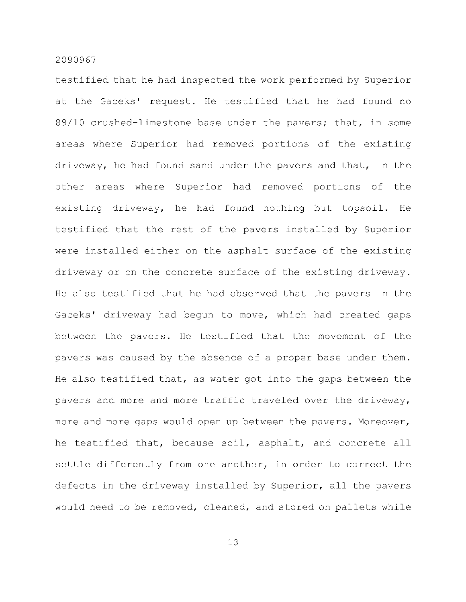testified that he had inspected the work performed by Superior at the Gaceks' request. He testified that he had found no  $89/10$  crushed-limestone base under the pavers; that, in some areas where Superior had removed portions of the existing driveway, he had found sand under the pavers and that, in the other areas where Superior had removed portions of the existing driveway, he had found nothing but topsoil. He testified that the rest of the pavers installed by Superior were installed either on the asphalt surface of the existing driveway or on the concrete surface of the existing driveway. He also testified that he had observed that the pavers in the Gaceks' driveway had begun to move, which had created gaps between the pavers. He testified that the movement of the pavers was caused by the absence of a proper base under them. He also testified that, as water got into the gaps between the pavers and more and more traffic traveled over the driveway, more and more gaps would open up between the pavers. Moreover, he testified that, because soil, asphalt, and concrete all settle differently from one another, in order to correct the defects in the driveway installed by Superior, all the pavers would need to be removed, cleaned, and stored on pallets while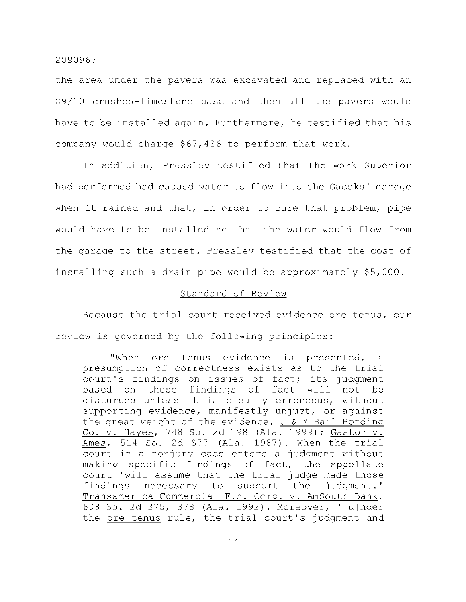the area under the pavers was excavated and replaced with an  $89/10$  crushed-limestone base and then all the pavers would have to be installed again. Furthermore, he testified that his company would charge \$67,436 to perform that work.

In addition, Pressley testified that the work Superior had performed had caused water to flow into the Gaceks' garage when it rained and that, in order to cure that problem, pipe would have to be installed so that the water would flow from the garage to the street. Pressley testified that the cost of installing such a drain pipe would be approximately \$5,000.

# Standard of Review

Because the trial court received evidence ore tenus, our review is governed by the following principles:

"When ore tenus evidence is presented, a presumption of correctness exists as to the trial court's findings on issues of fact; its judgment based on these findings of fact will not be disturbed unless it is clearly erroneous, without supporting evidence, manifestly unjust, or against the great weight of the evidence.  $J \& M$  Bail Bonding Co. v. Hayes, 748 So. 2d 198 (Ala. 1999); Gaston v. Ames, 514 So. 2d 877 (Ala. 1987). When the trial court in a nonjury case enters a judgment without making specific findings of fact, the appellate court 'will assume that the trial judge made those findings necessary to support the judgment.' Transamerica Commercial Fin. Corp. v. AmSouth Bank, 608 So. 2d 375, 378 (Ala. 1992). Moreover, '[u]nder the ore tenus rule, the trial court's judgment and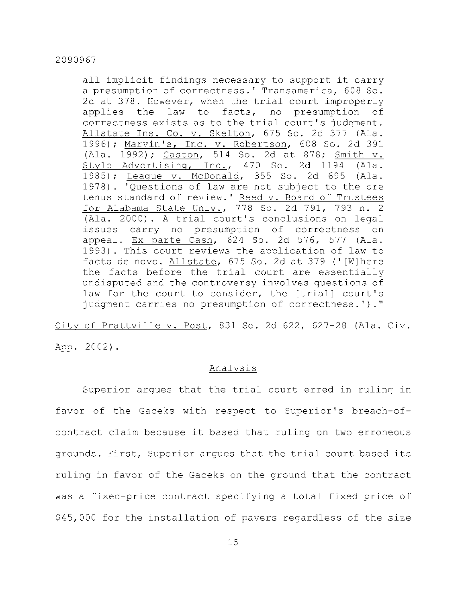all implicit findings necessary to support it carry a presumption of correctness. ' Transamerica, 608 So. 2d at 378. However, when the trial court improperly applies the law to facts, no presumption of correctness exists as to the trial court's judgment. Allstate Ins. Co. v. Skelton, 675 So. 2d 377 (Ala. 1996); Marvin's, Inc. v. Robertson, 608 So. 2d 391 (Ala. 1992); Gaston, 514 So. 2d at 878; Smith v. Style Advertising, Inc., 470 So. 2d 1194 (Ala. 1985); League v. McDonald, 355 So. 2d 695 (Ala. 1978). 'Questions of law are not subject to the ore tenus standard of review.' Reed v. Board of Trustees for Alabama State Univ., 778 So. 2d 791, 793 n. 2 (Ala. 2000). A trial court's conclusions on legal issues carry no presumption of correctness on appeal. Ex parte Cash,  $624$  So. 2d  $576$ ,  $577$  (Ala. 1993). This court reviews the application of law to facts de novo. Allstate, 675 So. 2d at 379 ('[W]here the facts before the trial court are essentially undisputed and the controversy involves questions of law for the court to consider, the [trial] court's judgment carries no presumption of correctness.')."

City of Prattville v. Post, 831 So. 2d 622, 627-28 (Ala. Civ.

App. 2002).

# Analysi s

Superior argues that the trial court erred in ruling in favor of the Gaceks with respect to Superior's breach-ofcontract claim because it based that ruling on two erroneous grounds. First, Superior argues that the trial court based its ruling in favor of the Gaceks on the ground that the contract was a fixed-price contract specifying a total fixed price of \$45,000 for the installation of pavers regardless of the size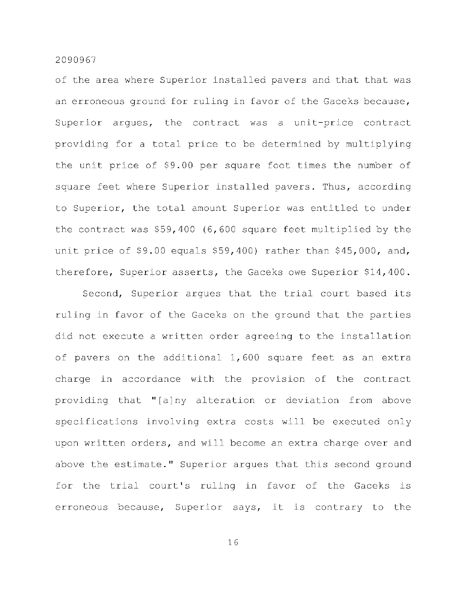of the area where Superior installed pavers and that that was an erroneous ground for ruling in favor of the Gaceks because, Superior argues, the contract was a unit-price contract providing for a total price to be determined by multiplying the unit price of \$9.00 per square foot times the number of square feet where Superior installed pavers. Thus, according to Superior, the total amount Superior was entitled to under the contract was  $$59,400$  (6,600 square feet multiplied by the unit price of \$9.00 equals  $$59,400$ ) rather than \$45,000, and, therefore, Superior asserts, the Gaceks owe Superior \$14,400.

Second, Superior argues that the trial court based its ruling in favor of the Gaceks on the ground that the parties did not execute a written order agreeing to the installation of pavers on the additional  $1,600$  square feet as an extra charge in accordance with the provision of the contract providing that "[a]ny alteration or deviation from above specifications involving extra costs will be executed only upon written orders, and will become an extra charge over and above the estimate." Superior argues that this second ground for the trial court's ruling in favor of the Gaceks is erroneous because, Superior says, it is contrary to the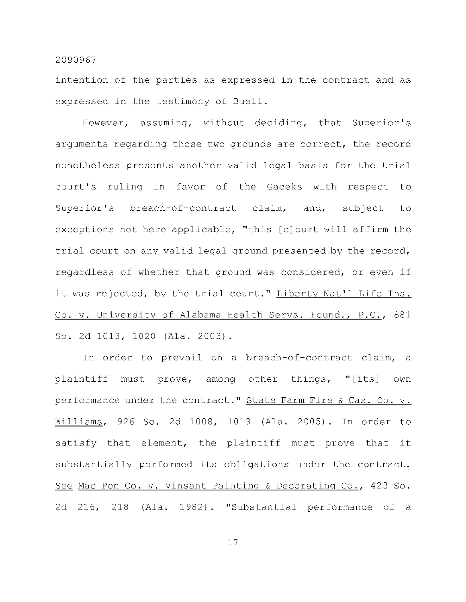intention of the parties as expressed in the contract and as expressed in the testimony of Buell.

However, assuming, without deciding, that Superior's arguments regarding those two grounds are correct, the record nonetheless presents another valid legal basis for the trial court's ruling in favor of the Gaceks with respect to Superior's breach-of-contract claim, and, subject to exceptions not here applicable, "this [c]ourt will affirm the trial court on any valid legal ground presented by the record, regardless of whether that ground was considered, or even if it was rejected, by the trial court." Liberty Nat'l Life Ins. Co. v. University of Alabama Health Servs. Found., P.C., 881 So. 2d 1013, 1020 (Ala. 2003).

In order to prevail on a breach-of-contract claim, a plaintiff must prove, among other things, "[its] own performance under the contract." State Farm Fire & Cas. Co. v. Williams, 926 So. 2d 1008, 1013 (Ala. 2005). In order to satisfy that element, the plaintiff must prove that it substantially performed its obligations under the contract. See Mac Pon Co. v. Vinsant Painting & Decorating Co., 423 So. 2d 216, 218 (Ala. 1982). "Substantial performance of a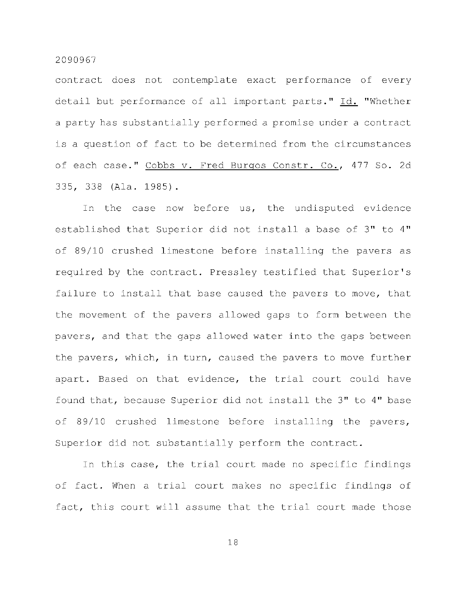contract does not contemplate exact performance of every detail but performance of all important parts." Id. "Whether a party has substantially performed a promise under a contract is a question of fact to be determined from the circumstances of each case." Cobbs v. Fred Burgos Constr. Co., 477 So. 2d 335, 338 (Ala. 1985).

In the case now before us, the undisputed evidence established that Superior did not install a base of 3" to 4" of 89/10 crushed limestone before installing the pavers as required by the contract. Pressley testified that Superior's failure to install that base caused the pavers to move, that the movement of the pavers allowed gaps to form between the pavers, and that the gaps allowed water into the gaps between the pavers, which, in turn, caused the pavers to move further apart. Based on that evidence, the trial court could have found that, because Superior did not install the 3" to 4" base of 89/10 crushed limestone before installing the pavers, Superior did not substantially perform the contract.

In this case, the trial court made no specific findings of fact. When a trial court makes no specific findings of fact, this court will assume that the trial court made those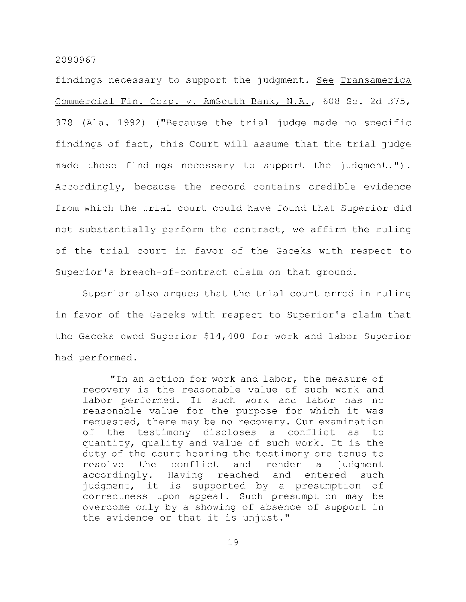findings necessary to support the judgment. See Transamerica Commercial Fin. Corp. v. AmSouth Bank, N.A., 608 So. 2d 375,  $378$  (Ala. 1992) ("Because the trial judge made no specific findings of fact, this Court will assume that the trial judge made those findings necessary to support the judgment."). Accordingly, because the record contains credible evidence from which the trial court could have found that Superior did not substantially perform the contract, we affirm the ruling of the trial court in favor of the Gaceks with respect to Superior's breach-of-contract claim on that ground.

Superior also argues that the trial court erred in ruling in favor of the Gaceks with respect to Superior's claim that the Gaceks owed Superior  $$14,400$  for work and labor Superior had performed.

"In an action for work and labor, the measure of recovery is the reasonable value of such work and labor performed. If such work and labor has no reasonable value for the purpose for which it was requested, there may be no recovery. Our examination of the testimony discloses a conflict as to quantity, quality and value of such work. It is the duty of the court hearing the testimony ore tenus to resolve the conflict and render a judgment accordingly. Having reached and entered such judgment, it is supported by a presumption of correctness upon appeal. Such presumption may be overcome only by a showing of absence of support in the evidence or that it is unjust."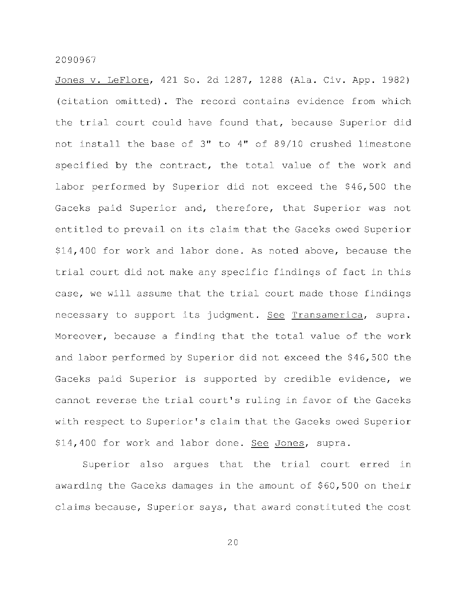Jones v. LeFlore, 421 So. 2d 1287, 1288 (Ala. Civ. App. 1982) (citation omitted). The record contains evidence from which the trial court could have found that, because Superior did not install the base of  $3"$  to  $4"$  of  $89/10$  crushed limestone specified by the contract, the total value of the work and labor performed by Superior did not exceed the \$46,500 the Gaceks paid Superior and, therefore, that Superior was not entitled to prevail on its claim that the Gaceks owed Superior \$14,400 for work and labor done. As noted above, because the trial court did not make any specific findings of fact in this case, we will assume that the trial court made those findings necessary to support its judgment. See Transamerica, supra. Moreover, because a finding that the total value of the work and labor performed by Superior did not exceed the \$46,500 the Gaceks paid Superior is supported by credible evidence, we cannot reverse the trial court's ruling in favor of the Gaceks with respect to Superior's claim that the Gaceks owed Superior \$14,400 for work and labor done. See Jones, supra.

Superior also argues that the trial court erred in awarding the Gaceks damages in the amount of \$60,500 on their claims because, Superior says, that award constituted the cost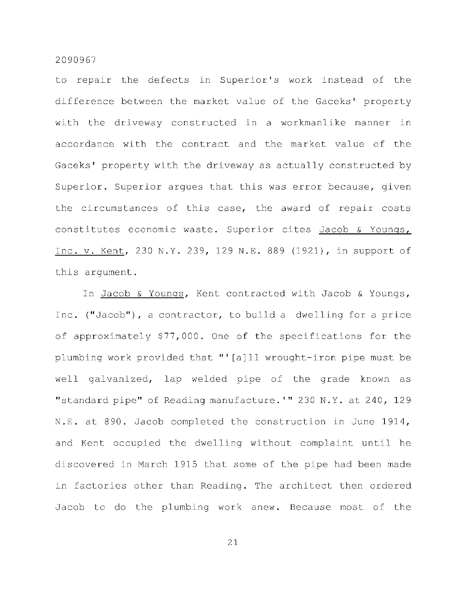to repair the defects in Superior's work instead of the difference between the market value of the Gaceks' property with the driveway constructed in a workmanlike manner in accordance with the contract and the market value of the Gaceks' property with the driveway as actually constructed by Superior. Superior arques that this was error because, given the circumstances of this case, the award of repair costs constitutes economic waste. Superior cites Jacob & Youngs, Inc. v. Kent, 230 N.Y. 239, 129 N.E. 889 (1921), in support of this argument.

In Jacob & Youngs, Kent contracted with Jacob & Youngs, Inc. ("Jacob"), a contractor, to build a dwelling for a price of approximately  $$77,000$ . One of the specifications for the plumbing work provided that "'[a]ll wrought-iron pipe must be well galvanized, lap welded pipe of the grade known as "standard pipe" of Reading manufacture. '" 230 N.Y. at 240, 129 N.E. at 890. Jacob completed the construction in June 1914, and Kent occupied the dwelling without complaint until he discovered in March 1915 that some of the pipe had been made in factories other than Reading. The architect then ordered Jacob to do the plumbing work anew. Because most of the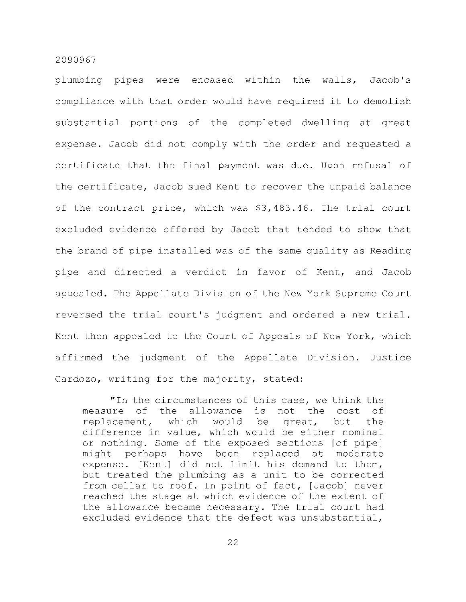plumbing pipes were encased within the walls, Jacob's compliance with that order would have required it to demolish substantial portions of the completed dwelling at great expense. Jacob did not comply with the order and requested a certificate that the final payment was due. Upon refusal of the certificate, Jacob sued Kent to recover the unpaid balance of the contract price, which was \$3,483.46. The trial court excluded evidence offered by Jacob that tended to show that the brand of pipe installed was of the same quality as Reading pipe and directed a verdict in favor of Kent, and Jacob appealed. The Appellate Division of the New York Supreme Court reversed the trial court's judgment and ordered a new trial. Kent then appealed to the Court of Appeals of New York, which affirmed the judgment of the Appellate Division. Justice Cardozo, writing for the majority, stated:

"In the circumstances of this case, we think the measure of the allowance is not the cost of replacement, which would be great, but the difference in value, which would be either nominal or nothing. Some of the exposed sections [of pipe] might perhaps have been replaced at moderate expense. [Kent] did not limit his demand to them, but treated the plumbing as a unit to be corrected from cellar to roof. In point of fact, [Jacob] never reached the stage at which evidence of the extent of the allowance became necessary. The trial court had excluded evidence that the defect was unsubstantial,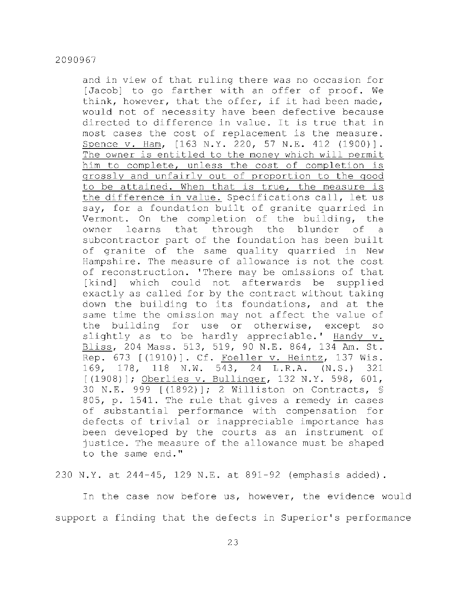and in view of that ruling there was no occasion for [Jacob] to go farther with an offer of proof. We think, however, that the offer, if it had been made, would not of necessity have been defective because directed to difference in value. It is true that in most cases the cost of replacement is the measure. Spence v. Ham, [163 N.Y. 220, 57 N.E. 412 (1900)]. The owner is entitled to the money which will permit him to complete, unless the cost of completion is grossly and unfairly out of proportion to the good to be attained. When that is true, the measure is the difference in value. Specifications call, let us say, for a foundation built of granite quarried in Vermont. On the completion of the building, the owner learns that through the blunder of a subcontractor part of the foundation has been built of granite of the same quality quarried in New Hampshire. The measure of allowance is not the cost of reconstruction. 'There may be omissions of that [kind] which could not afterwards be supplied exactly as called for by the contract without taking down the building to its foundations, and at the same time the omission may not affect the value of the building for use or otherwise, except so slightly as to be hardly appreciable.' Handy v. Bliss, 204 Mass. 513, 519, 90 N.E. 864, 134 Am. St.  $\overline{\text{Rep.}}$  673 [(1910)]. Cf. Foeller v. Heintz, 137 Wis. 169, 178, 118 N.W. 543, 24 L.R.A. (N.S.) 321  $[ (1908) ]$ ; Oberlies v. Bullinger, 132 N.Y. 598, 601, 30 N.E. 999 [(1892)]; 2 Williston on Contracts, § 805, p. 1541. The rule that gives a remedy in cases of substantial performance with compensation for defects of trivial or inappreciable importance has been developed by the courts as an instrument of justice. The measure of the allowance must be shaped to the same end."

230 N.Y. at 244-45, 129 N.E. at 891-92 (emphasis added).

In the case now before us, however, the evidence would support a finding that the defects in Superior's performance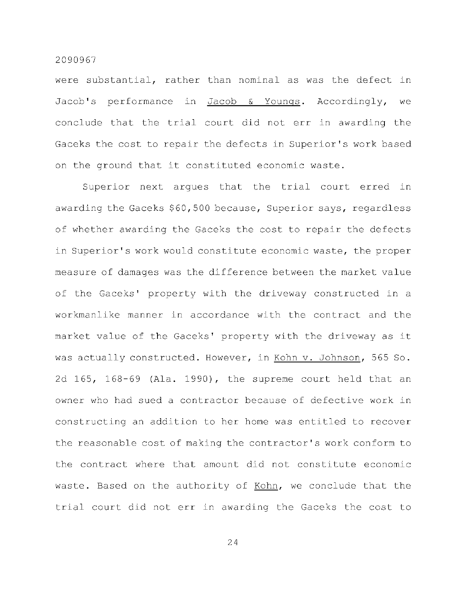were substantial, rather than nominal as was the defect in Jacob's performance in Jacob & Youngs. Accordingly, we conclude that the trial court did not err in awarding the Gaceks the cost to repair the defects in Superior's work based on the ground that it constituted economic waste.

Superior next argues that the trial court erred in awarding the Gaceks \$60,500 because, Superior says, regardless of whether awarding the Gaceks the cost to repair the defects in Superior's work would constitute economic waste, the proper measure of damages was the difference between the market value of the Gaceks' property with the driveway constructed in a workmanlike manner in accordance with the contract and the market value of the Gaceks' property with the driveway as it was actually constructed. However, in Kohn v. Johnson, 565 So. 2d 165, 168-69 (Ala. 1990), the supreme court held that an owner who had sued a contractor because of defective work in constructing an addition to her home was entitled to recover the reasonable cost of making the contractor's work conform to the contract where that amount did not constitute economic waste. Based on the authority of Kohn, we conclude that the trial court did not err in awarding the Gaceks the cost to